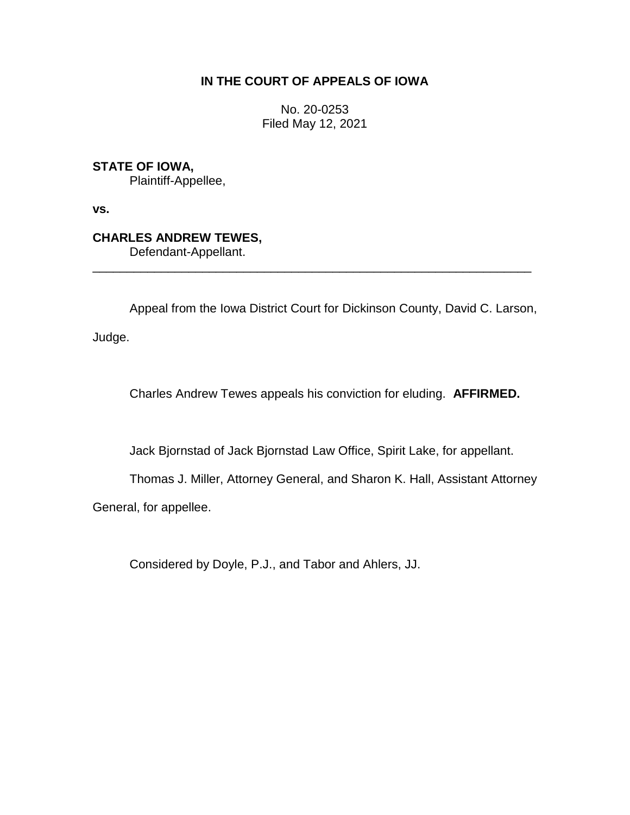## **IN THE COURT OF APPEALS OF IOWA**

No. 20-0253 Filed May 12, 2021

## **STATE OF IOWA,**

Plaintiff-Appellee,

**vs.**

# **CHARLES ANDREW TEWES,**

Defendant-Appellant.

Appeal from the Iowa District Court for Dickinson County, David C. Larson,

\_\_\_\_\_\_\_\_\_\_\_\_\_\_\_\_\_\_\_\_\_\_\_\_\_\_\_\_\_\_\_\_\_\_\_\_\_\_\_\_\_\_\_\_\_\_\_\_\_\_\_\_\_\_\_\_\_\_\_\_\_\_\_\_

Judge.

Charles Andrew Tewes appeals his conviction for eluding. **AFFIRMED.**

Jack Bjornstad of Jack Bjornstad Law Office, Spirit Lake, for appellant.

Thomas J. Miller, Attorney General, and Sharon K. Hall, Assistant Attorney

General, for appellee.

Considered by Doyle, P.J., and Tabor and Ahlers, JJ.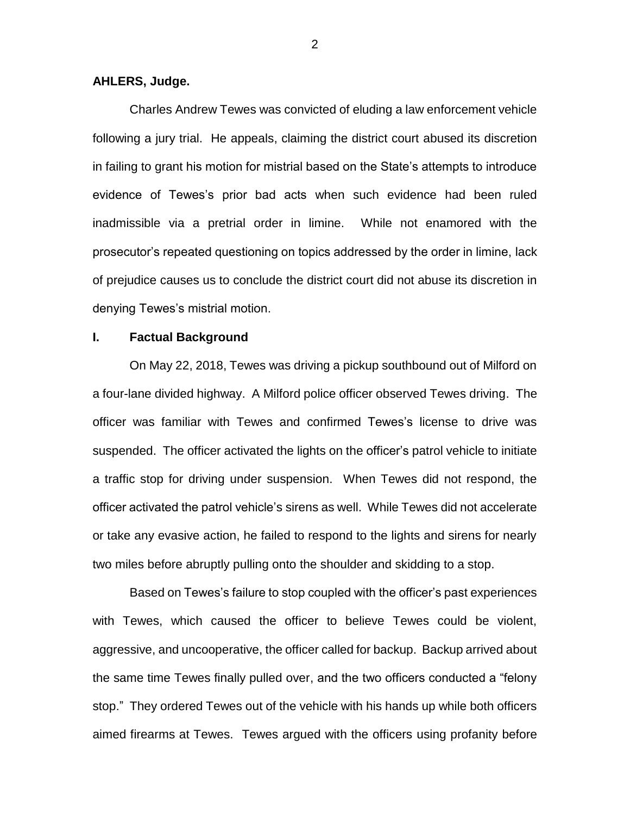#### **AHLERS, Judge.**

Charles Andrew Tewes was convicted of eluding a law enforcement vehicle following a jury trial. He appeals, claiming the district court abused its discretion in failing to grant his motion for mistrial based on the State's attempts to introduce evidence of Tewes's prior bad acts when such evidence had been ruled inadmissible via a pretrial order in limine. While not enamored with the prosecutor's repeated questioning on topics addressed by the order in limine, lack of prejudice causes us to conclude the district court did not abuse its discretion in denying Tewes's mistrial motion.

### **I. Factual Background**

On May 22, 2018, Tewes was driving a pickup southbound out of Milford on a four-lane divided highway. A Milford police officer observed Tewes driving. The officer was familiar with Tewes and confirmed Tewes's license to drive was suspended. The officer activated the lights on the officer's patrol vehicle to initiate a traffic stop for driving under suspension. When Tewes did not respond, the officer activated the patrol vehicle's sirens as well. While Tewes did not accelerate or take any evasive action, he failed to respond to the lights and sirens for nearly two miles before abruptly pulling onto the shoulder and skidding to a stop.

Based on Tewes's failure to stop coupled with the officer's past experiences with Tewes, which caused the officer to believe Tewes could be violent, aggressive, and uncooperative, the officer called for backup. Backup arrived about the same time Tewes finally pulled over, and the two officers conducted a "felony stop." They ordered Tewes out of the vehicle with his hands up while both officers aimed firearms at Tewes. Tewes argued with the officers using profanity before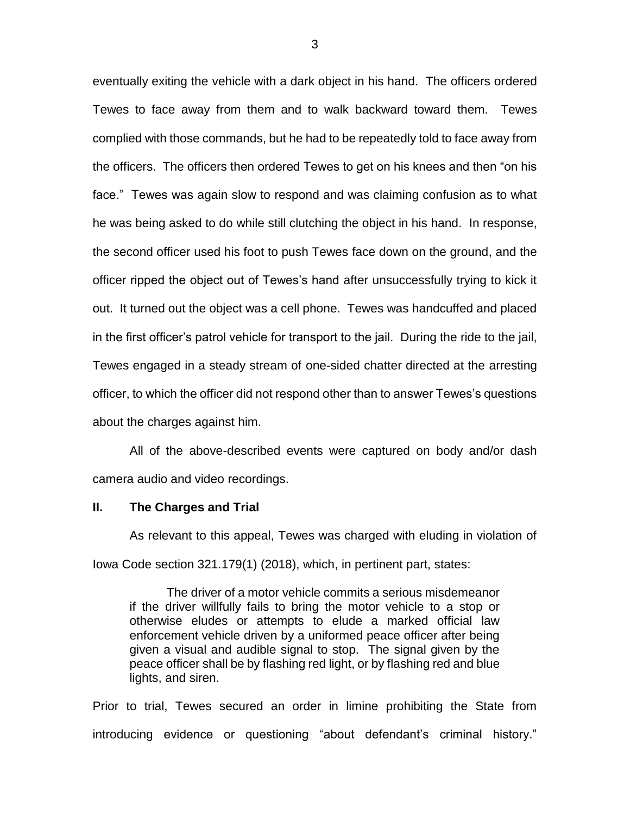eventually exiting the vehicle with a dark object in his hand. The officers ordered Tewes to face away from them and to walk backward toward them. Tewes complied with those commands, but he had to be repeatedly told to face away from the officers. The officers then ordered Tewes to get on his knees and then "on his face." Tewes was again slow to respond and was claiming confusion as to what he was being asked to do while still clutching the object in his hand. In response, the second officer used his foot to push Tewes face down on the ground, and the officer ripped the object out of Tewes's hand after unsuccessfully trying to kick it out. It turned out the object was a cell phone. Tewes was handcuffed and placed in the first officer's patrol vehicle for transport to the jail. During the ride to the jail, Tewes engaged in a steady stream of one-sided chatter directed at the arresting officer, to which the officer did not respond other than to answer Tewes's questions about the charges against him.

All of the above-described events were captured on body and/or dash camera audio and video recordings.

#### **II. The Charges and Trial**

As relevant to this appeal, Tewes was charged with eluding in violation of Iowa Code section 321.179(1) (2018), which, in pertinent part, states:

The driver of a motor vehicle commits a serious misdemeanor if the driver willfully fails to bring the motor vehicle to a stop or otherwise eludes or attempts to elude a marked official law enforcement vehicle driven by a uniformed peace officer after being given a visual and audible signal to stop. The signal given by the peace officer shall be by flashing red light, or by flashing red and blue lights, and siren.

Prior to trial, Tewes secured an order in limine prohibiting the State from introducing evidence or questioning "about defendant's criminal history."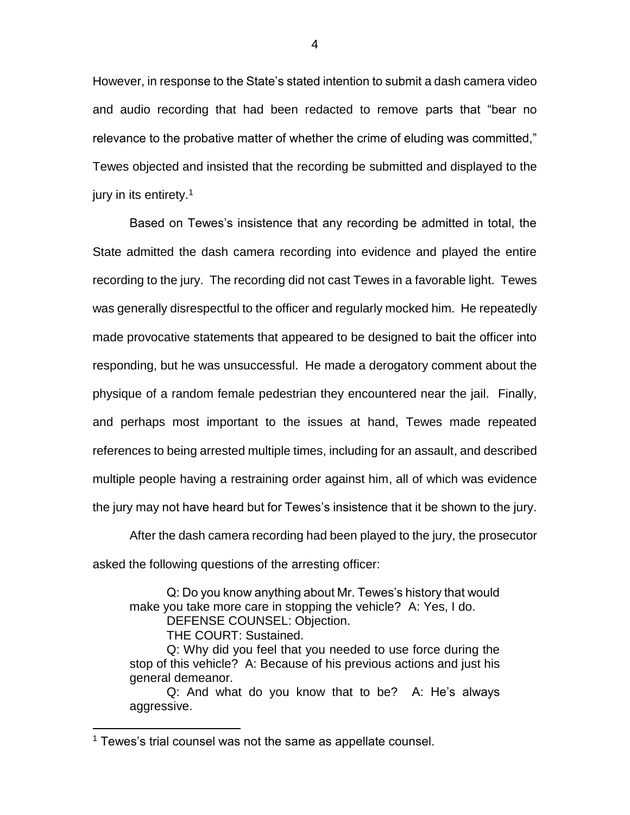However, in response to the State's stated intention to submit a dash camera video and audio recording that had been redacted to remove parts that "bear no relevance to the probative matter of whether the crime of eluding was committed," Tewes objected and insisted that the recording be submitted and displayed to the jury in its entirety.<sup>1</sup>

Based on Tewes's insistence that any recording be admitted in total, the State admitted the dash camera recording into evidence and played the entire recording to the jury. The recording did not cast Tewes in a favorable light. Tewes was generally disrespectful to the officer and regularly mocked him. He repeatedly made provocative statements that appeared to be designed to bait the officer into responding, but he was unsuccessful. He made a derogatory comment about the physique of a random female pedestrian they encountered near the jail. Finally, and perhaps most important to the issues at hand, Tewes made repeated references to being arrested multiple times, including for an assault, and described multiple people having a restraining order against him, all of which was evidence the jury may not have heard but for Tewes's insistence that it be shown to the jury.

After the dash camera recording had been played to the jury, the prosecutor asked the following questions of the arresting officer:

Q: Do you know anything about Mr. Tewes's history that would make you take more care in stopping the vehicle? A: Yes, I do. DEFENSE COUNSEL: Objection.

THE COURT: Sustained.

 $\overline{a}$ 

Q: Why did you feel that you needed to use force during the stop of this vehicle? A: Because of his previous actions and just his general demeanor.

Q: And what do you know that to be? A: He's always aggressive.

<sup>&</sup>lt;sup>1</sup> Tewes's trial counsel was not the same as appellate counsel.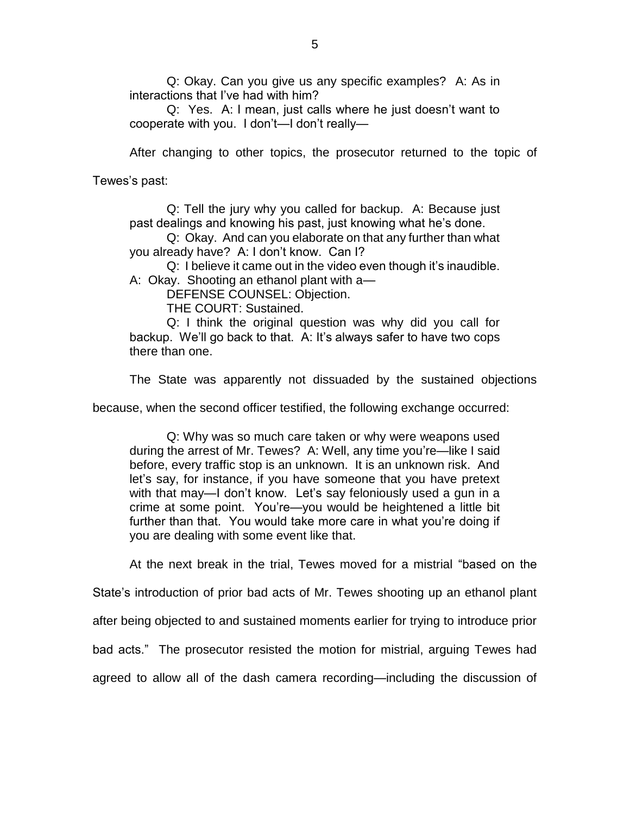Q: Okay. Can you give us any specific examples? A: As in interactions that I've had with him?

Q: Yes. A: I mean, just calls where he just doesn't want to cooperate with you. I don't—I don't really—

After changing to other topics, the prosecutor returned to the topic of

Tewes's past:

Q: Tell the jury why you called for backup. A: Because just past dealings and knowing his past, just knowing what he's done.

Q: Okay. And can you elaborate on that any further than what you already have? A: I don't know. Can I?

Q: I believe it came out in the video even though it's inaudible.

A: Okay. Shooting an ethanol plant with a—

DEFENSE COUNSEL: Objection.

THE COURT: Sustained.

Q: I think the original question was why did you call for backup. We'll go back to that. A: It's always safer to have two cops there than one.

The State was apparently not dissuaded by the sustained objections

because, when the second officer testified, the following exchange occurred:

Q: Why was so much care taken or why were weapons used during the arrest of Mr. Tewes? A: Well, any time you're—like I said before, every traffic stop is an unknown. It is an unknown risk. And let's say, for instance, if you have someone that you have pretext with that may—I don't know. Let's say feloniously used a gun in a crime at some point. You're—you would be heightened a little bit further than that. You would take more care in what you're doing if you are dealing with some event like that.

At the next break in the trial, Tewes moved for a mistrial "based on the

State's introduction of prior bad acts of Mr. Tewes shooting up an ethanol plant

after being objected to and sustained moments earlier for trying to introduce prior

bad acts." The prosecutor resisted the motion for mistrial, arguing Tewes had

agreed to allow all of the dash camera recording—including the discussion of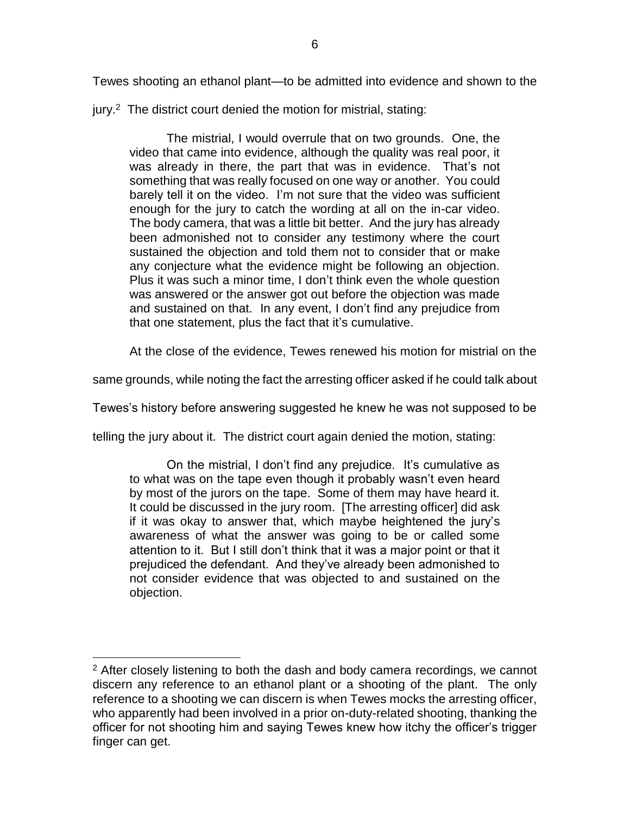Tewes shooting an ethanol plant—to be admitted into evidence and shown to the

jury.<sup>2</sup> The district court denied the motion for mistrial, stating:

The mistrial, I would overrule that on two grounds. One, the video that came into evidence, although the quality was real poor, it was already in there, the part that was in evidence. That's not something that was really focused on one way or another. You could barely tell it on the video. I'm not sure that the video was sufficient enough for the jury to catch the wording at all on the in-car video. The body camera, that was a little bit better. And the jury has already been admonished not to consider any testimony where the court sustained the objection and told them not to consider that or make any conjecture what the evidence might be following an objection. Plus it was such a minor time, I don't think even the whole question was answered or the answer got out before the objection was made and sustained on that. In any event, I don't find any prejudice from that one statement, plus the fact that it's cumulative.

At the close of the evidence, Tewes renewed his motion for mistrial on the

same grounds, while noting the fact the arresting officer asked if he could talk about

Tewes's history before answering suggested he knew he was not supposed to be

telling the jury about it. The district court again denied the motion, stating:

On the mistrial, I don't find any prejudice. It's cumulative as to what was on the tape even though it probably wasn't even heard by most of the jurors on the tape. Some of them may have heard it. It could be discussed in the jury room. [The arresting officer] did ask if it was okay to answer that, which maybe heightened the jury's awareness of what the answer was going to be or called some attention to it. But I still don't think that it was a major point or that it prejudiced the defendant. And they've already been admonished to not consider evidence that was objected to and sustained on the objection.

 $\overline{a}$ 

<sup>&</sup>lt;sup>2</sup> After closely listening to both the dash and body camera recordings, we cannot discern any reference to an ethanol plant or a shooting of the plant. The only reference to a shooting we can discern is when Tewes mocks the arresting officer, who apparently had been involved in a prior on-duty-related shooting, thanking the officer for not shooting him and saying Tewes knew how itchy the officer's trigger finger can get.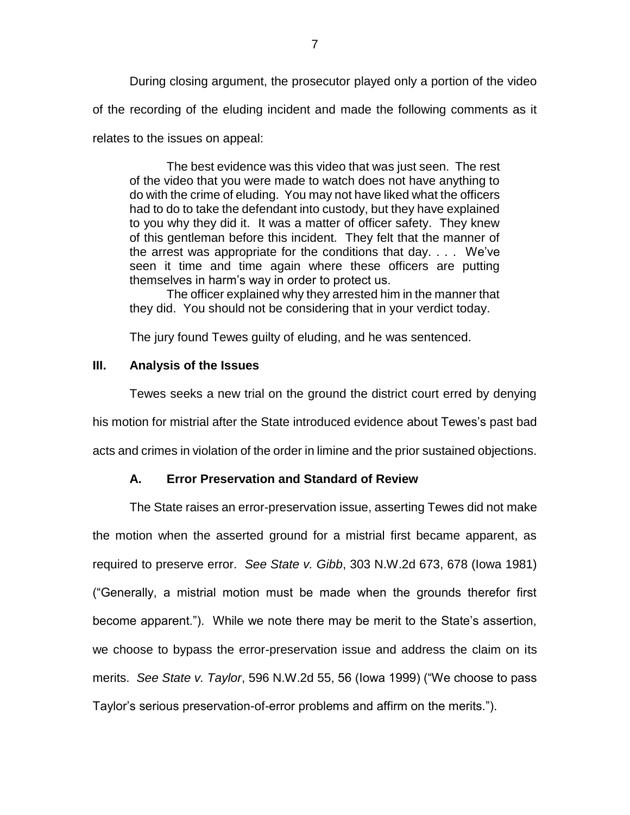During closing argument, the prosecutor played only a portion of the video of the recording of the eluding incident and made the following comments as it relates to the issues on appeal:

The best evidence was this video that was just seen. The rest of the video that you were made to watch does not have anything to do with the crime of eluding. You may not have liked what the officers had to do to take the defendant into custody, but they have explained to you why they did it. It was a matter of officer safety. They knew of this gentleman before this incident. They felt that the manner of the arrest was appropriate for the conditions that day. . . . We've seen it time and time again where these officers are putting themselves in harm's way in order to protect us.

The officer explained why they arrested him in the manner that they did. You should not be considering that in your verdict today.

The jury found Tewes guilty of eluding, and he was sentenced.

### **III. Analysis of the Issues**

Tewes seeks a new trial on the ground the district court erred by denying his motion for mistrial after the State introduced evidence about Tewes's past bad acts and crimes in violation of the order in limine and the prior sustained objections.

## **A. Error Preservation and Standard of Review**

The State raises an error-preservation issue, asserting Tewes did not make the motion when the asserted ground for a mistrial first became apparent, as required to preserve error. *See State v. Gibb*, 303 N.W.2d 673, 678 (Iowa 1981) ("Generally, a mistrial motion must be made when the grounds therefor first become apparent."). While we note there may be merit to the State's assertion, we choose to bypass the error-preservation issue and address the claim on its merits. *See State v. Taylor*, 596 N.W.2d 55, 56 (Iowa 1999) ("We choose to pass Taylor's serious preservation-of-error problems and affirm on the merits.").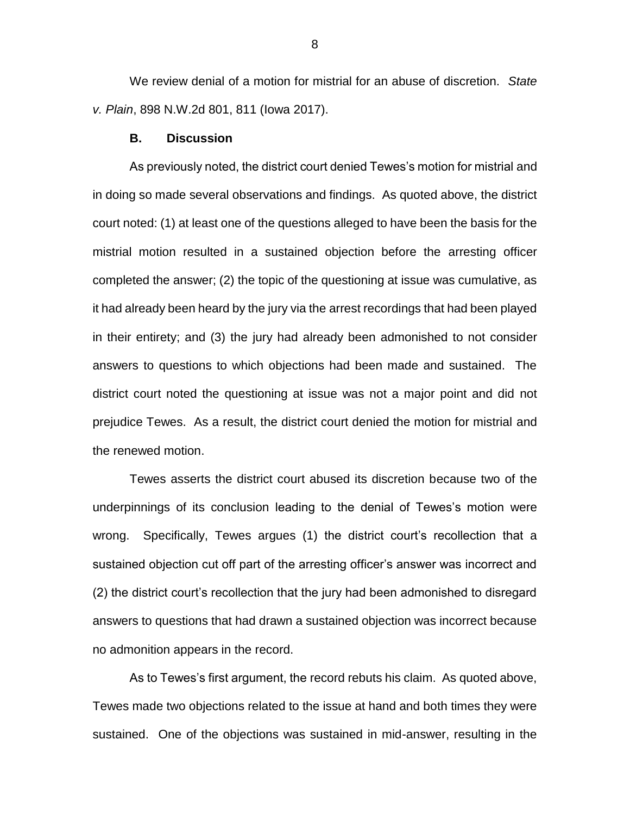We review denial of a motion for mistrial for an abuse of discretion. *State v. Plain*, 898 N.W.2d 801, 811 (Iowa 2017).

#### **B. Discussion**

As previously noted, the district court denied Tewes's motion for mistrial and in doing so made several observations and findings. As quoted above, the district court noted: (1) at least one of the questions alleged to have been the basis for the mistrial motion resulted in a sustained objection before the arresting officer completed the answer; (2) the topic of the questioning at issue was cumulative, as it had already been heard by the jury via the arrest recordings that had been played in their entirety; and (3) the jury had already been admonished to not consider answers to questions to which objections had been made and sustained. The district court noted the questioning at issue was not a major point and did not prejudice Tewes. As a result, the district court denied the motion for mistrial and the renewed motion.

Tewes asserts the district court abused its discretion because two of the underpinnings of its conclusion leading to the denial of Tewes's motion were wrong. Specifically, Tewes argues (1) the district court's recollection that a sustained objection cut off part of the arresting officer's answer was incorrect and (2) the district court's recollection that the jury had been admonished to disregard answers to questions that had drawn a sustained objection was incorrect because no admonition appears in the record.

As to Tewes's first argument, the record rebuts his claim. As quoted above, Tewes made two objections related to the issue at hand and both times they were sustained. One of the objections was sustained in mid-answer, resulting in the

8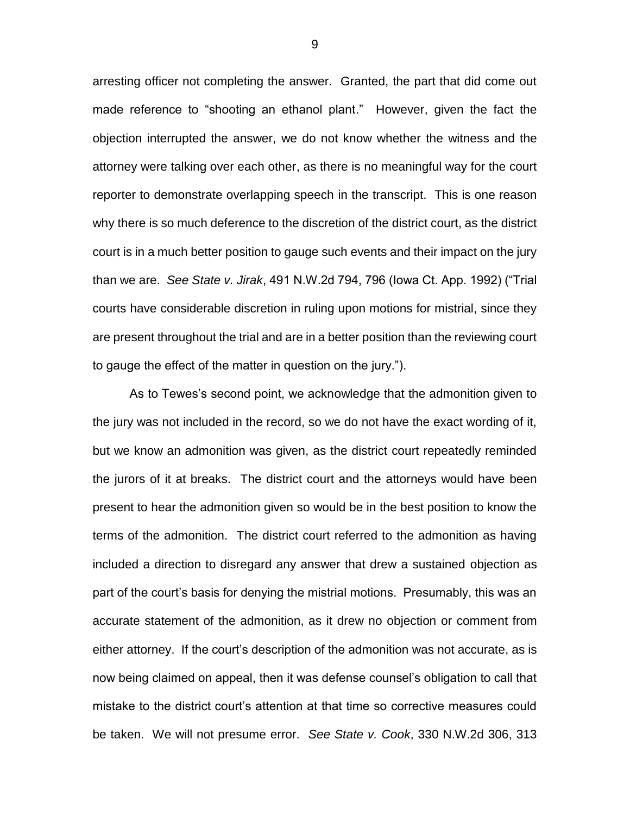arresting officer not completing the answer. Granted, the part that did come out made reference to "shooting an ethanol plant." However, given the fact the objection interrupted the answer, we do not know whether the witness and the attorney were talking over each other, as there is no meaningful way for the court reporter to demonstrate overlapping speech in the transcript. This is one reason why there is so much deference to the discretion of the district court, as the district court is in a much better position to gauge such events and their impact on the jury than we are. *See State v. Jirak*, 491 N.W.2d 794, 796 (Iowa Ct. App. 1992) ("Trial courts have considerable discretion in ruling upon motions for mistrial, since they are present throughout the trial and are in a better position than the reviewing court to gauge the effect of the matter in question on the jury.").

As to Tewes's second point, we acknowledge that the admonition given to the jury was not included in the record, so we do not have the exact wording of it, but we know an admonition was given, as the district court repeatedly reminded the jurors of it at breaks. The district court and the attorneys would have been present to hear the admonition given so would be in the best position to know the terms of the admonition. The district court referred to the admonition as having included a direction to disregard any answer that drew a sustained objection as part of the court's basis for denying the mistrial motions. Presumably, this was an accurate statement of the admonition, as it drew no objection or comment from either attorney. If the court's description of the admonition was not accurate, as is now being claimed on appeal, then it was defense counsel's obligation to call that mistake to the district court's attention at that time so corrective measures could be taken. We will not presume error. *See State v. Cook*, 330 N.W.2d 306, 313

9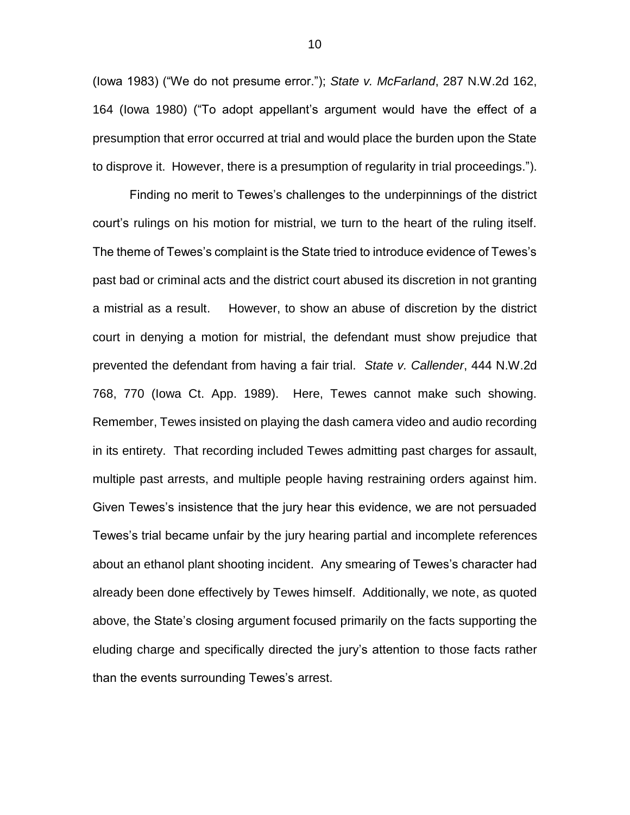(Iowa 1983) ("We do not presume error."); *State v. McFarland*, 287 N.W.2d 162, 164 (Iowa 1980) ("To adopt appellant's argument would have the effect of a presumption that error occurred at trial and would place the burden upon the State to disprove it. However, there is a presumption of regularity in trial proceedings.").

Finding no merit to Tewes's challenges to the underpinnings of the district court's rulings on his motion for mistrial, we turn to the heart of the ruling itself. The theme of Tewes's complaint is the State tried to introduce evidence of Tewes's past bad or criminal acts and the district court abused its discretion in not granting a mistrial as a result. However, to show an abuse of discretion by the district court in denying a motion for mistrial, the defendant must show prejudice that prevented the defendant from having a fair trial. *State v. Callender*, 444 N.W.2d 768, 770 (Iowa Ct. App. 1989). Here, Tewes cannot make such showing. Remember, Tewes insisted on playing the dash camera video and audio recording in its entirety. That recording included Tewes admitting past charges for assault, multiple past arrests, and multiple people having restraining orders against him. Given Tewes's insistence that the jury hear this evidence, we are not persuaded Tewes's trial became unfair by the jury hearing partial and incomplete references about an ethanol plant shooting incident. Any smearing of Tewes's character had already been done effectively by Tewes himself. Additionally, we note, as quoted above, the State's closing argument focused primarily on the facts supporting the eluding charge and specifically directed the jury's attention to those facts rather than the events surrounding Tewes's arrest.